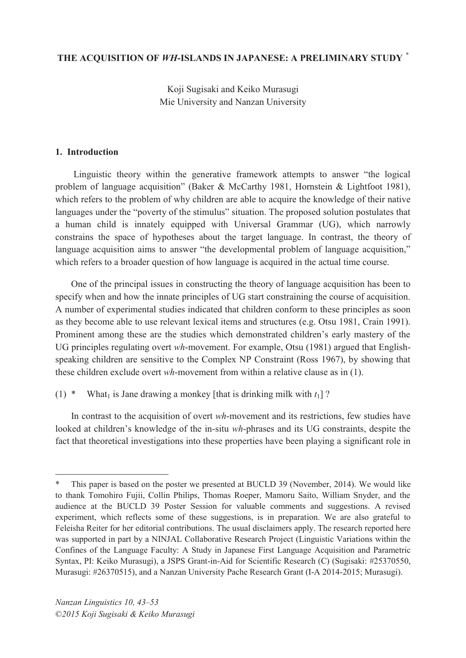### **THE ACQUISITION OF** *WH***-ISLANDS IN JAPANESE: A PRELIMINARY STUDY** *\**

Koji Sugisaki and Keiko Murasugi Mie University and Nanzan University

### **1. Introduction**

 $\overline{a}$ 

Linguistic theory within the generative framework attempts to answer "the logical problem of language acquisition" (Baker & McCarthy 1981, Hornstein & Lightfoot 1981), which refers to the problem of why children are able to acquire the knowledge of their native languages under the "poverty of the stimulus" situation. The proposed solution postulates that a human child is innately equipped with Universal Grammar (UG), which narrowly constrains the space of hypotheses about the target language. In contrast, the theory of language acquisition aims to answer "the developmental problem of language acquisition," which refers to a broader question of how language is acquired in the actual time course.

One of the principal issues in constructing the theory of language acquisition has been to specify when and how the innate principles of UG start constraining the course of acquisition. A number of experimental studies indicated that children conform to these principles as soon as they become able to use relevant lexical items and structures (e.g. Otsu 1981, Crain 1991). Prominent among these are the studies which demonstrated children's early mastery of the UG principles regulating overt *wh*-movement. For example, Otsu (1981) argued that Englishspeaking children are sensitive to the Complex NP Constraint (Ross 1967), by showing that these children exclude overt *wh*-movement from within a relative clause as in (1).

(1) \* What<sub>1</sub> is Jane drawing a monkey [that is drinking milk with  $t_1$ ]?

In contrast to the acquisition of overt *wh*-movement and its restrictions, few studies have looked at children's knowledge of the in-situ *wh*-phrases and its UG constraints, despite the fact that theoretical investigations into these properties have been playing a significant role in

This paper is based on the poster we presented at BUCLD 39 (November, 2014). We would like to thank Tomohiro Fujii, Collin Philips, Thomas Roeper, Mamoru Saito, William Snyder, and the audience at the BUCLD 39 Poster Session for valuable comments and suggestions. A revised experiment, which reflects some of these suggestions, is in preparation. We are also grateful to Feleisha Reiter for her editorial contributions. The usual disclaimers apply. The research reported here was supported in part by a NINJAL Collaborative Research Project (Linguistic Variations within the Confines of the Language Faculty: A Study in Japanese First Language Acquisition and Parametric Syntax, PI: Keiko Murasugi), a JSPS Grant-in-Aid for Scientific Research (C) (Sugisaki: #25370550, Murasugi: #26370515), and a Nanzan University Pache Research Grant (I-A 2014-2015; Murasugi).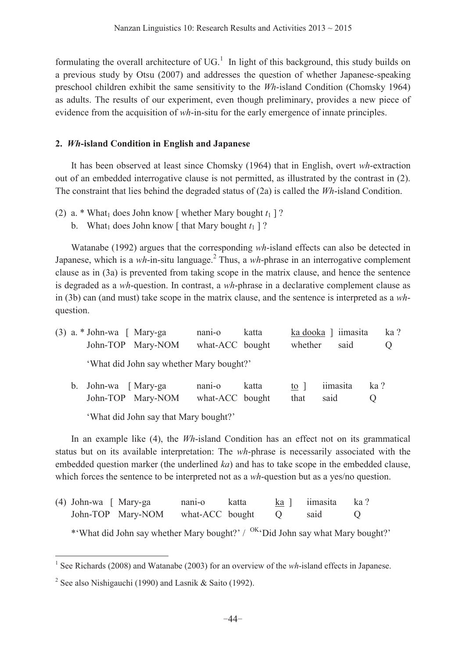formulating the overall architecture of  $UG<sup>1</sup>$ . In light of this background, this study builds on a previous study by Otsu (2007) and addresses the question of whether Japanese-speaking preschool children exhibit the same sensitivity to the *Wh*-island Condition (Chomsky 1964) as adults. The results of our experiment, even though preliminary, provides a new piece of evidence from the acquisition of *wh*-in-situ for the early emergence of innate principles.

## **2.** *Wh***-island Condition in English and Japanese**

It has been observed at least since Chomsky (1964) that in English, overt *wh*-extraction out of an embedded interrogative clause is not permitted, as illustrated by the contrast in (2). The constraint that lies behind the degraded status of (2a) is called the *Wh*-island Condition.

- (2) a. \* What<sub>1</sub> does John know [ whether Mary bought  $t_1$  ]?
	- b. What<sub>1</sub> does John know [ that Mary bought  $t_1$  ] ?

Watanabe (1992) argues that the corresponding *wh*-island effects can also be detected in Japanese, which is a  $wh$ -in-situ language.<sup>2</sup> Thus, a  $wh$ -phrase in an interrogative complement clause as in (3a) is prevented from taking scope in the matrix clause, and hence the sentence is degraded as a *wh*-question. In contrast, a *wh*-phrase in a declarative complement clause as in (3b) can (and must) take scope in the matrix clause, and the sentence is interpreted as a *wh*question.

|  | $(3)$ a. * John-wa $\int$ Mary-ga | John-TOP Mary-NOM                        | nani-o<br>what-ACC bought              | katta | whether            | ka dooka ] iimasita<br>said | ka?<br>0        |
|--|-----------------------------------|------------------------------------------|----------------------------------------|-------|--------------------|-----------------------------|-----------------|
|  |                                   | 'What did John say whether Mary bought?' |                                        |       |                    |                             |                 |
|  | b. John-wa [Mary-ga               | John-TOP Mary-NOM                        | nan <sub>1</sub> -o<br>what-ACC bought | katta | to $\vert$<br>that | iimasita<br>said            | ka?<br>$\theta$ |

'What did John say that Mary bought?'

In an example like (4), the *Wh*-island Condition has an effect not on its grammatical status but on its available interpretation: The *wh*-phrase is necessarily associated with the embedded question marker (the underlined *ka*) and has to take scope in the embedded clause, which forces the sentence to be interpreted not as a *wh*-question but as a yes/no question.

| (4) John-wa [ Mary-ga |                                            | nani-o | katta                        | ka ] iimasita ka? |  |
|-----------------------|--------------------------------------------|--------|------------------------------|-------------------|--|
|                       | John-TOP Mary-NOM what-ACC bought Q said Q |        |                              |                   |  |
|                       |                                            |        | $\ldots$ $\Omega V = \ldots$ |                   |  |

\*'What did John say whether Mary bought?' /  $O(K<sub>i</sub>\delta)$ Did John say what Mary bought?'

 1 See Richards (2008) and Watanabe (2003) for an overview of the *wh*-island effects in Japanese.

<sup>&</sup>lt;sup>2</sup> See also Nishigauchi (1990) and Lasnik & Saito (1992).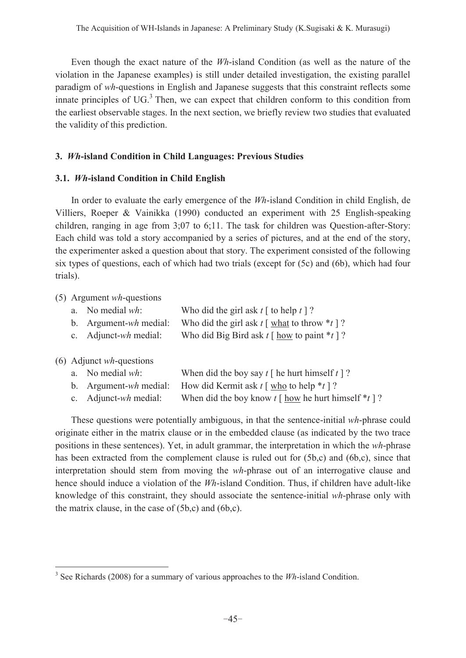Even though the exact nature of the *Wh*-island Condition (as well as the nature of the violation in the Japanese examples) is still under detailed investigation, the existing parallel paradigm of *wh*-questions in English and Japanese suggests that this constraint reflects some innate principles of  $UG<sup>3</sup>$ . Then, we can expect that children conform to this condition from the earliest observable stages. In the next section, we briefly review two studies that evaluated the validity of this prediction.

## **3.** *Wh***-island Condition in Child Languages: Previous Studies**

## **3.1.** *Wh***-island Condition in Child English**

In order to evaluate the early emergence of the *Wh*-island Condition in child English, de Villiers, Roeper & Vainikka (1990) conducted an experiment with 25 English-speaking children, ranging in age from 3;07 to 6;11. The task for children was Question-after-Story: Each child was told a story accompanied by a series of pictures, and at the end of the story, the experimenter asked a question about that story. The experiment consisted of the following six types of questions, each of which had two trials (except for (5c) and (6b), which had four trials).

## (5) Argument *wh*-questions

 $\overline{a}$ 

| a.          | No medial $wh$ :                                                              | Who did the girl ask $t \upharpoonright$ to help $t \upharpoonright ?$         |
|-------------|-------------------------------------------------------------------------------|--------------------------------------------------------------------------------|
| b.          | Argument- $wh$ medial:                                                        | Who did the girl ask $t \upharpoonright$ what to throw $*_t \upharpoonright ?$ |
| $c_{\cdot}$ | Adjunct- $wh$ medial:                                                         | Who did Big Bird ask $t \upharpoonright$ how to paint $*_t \upharpoonright ?$  |
| a.<br>b.    | $(6)$ Adjunct <i>wh</i> -questions<br>No medial $wh$ :<br>Argument-wh medial: |                                                                                |

c. Adjunct-*wh* medial: When did the boy know  $t \int \frac{h \, \text{d} u}{h \, \text{d} v}$  he hurt himself \**t* ]?

These questions were potentially ambiguous, in that the sentence-initial *wh*-phrase could originate either in the matrix clause or in the embedded clause (as indicated by the two trace positions in these sentences). Yet, in adult grammar, the interpretation in which the *wh*-phrase has been extracted from the complement clause is ruled out for (5b,c) and (6b,c), since that interpretation should stem from moving the *wh*-phrase out of an interrogative clause and hence should induce a violation of the *Wh*-island Condition. Thus, if children have adult-like knowledge of this constraint, they should associate the sentence-initial *wh*-phrase only with the matrix clause, in the case of (5b,c) and (6b,c).

<sup>&</sup>lt;sup>3</sup> See Richards (2008) for a summary of various approaches to the *Wh*-island Condition.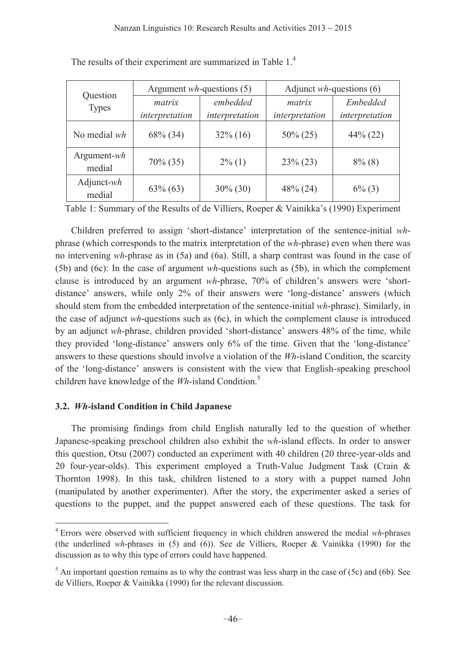| Question                 |                    | Argument $wh$ -questions (5) | Adjunct $wh$ -questions (6) |                 |  |
|--------------------------|--------------------|------------------------------|-----------------------------|-----------------|--|
| <b>Types</b>             | embedded<br>matrix |                              | matrix                      | <i>Embedded</i> |  |
|                          | interpretation     | interpretation               | interpretation              | interpretation  |  |
| No medial wh             | 68% (34)           | $32\%$ (16)                  | $50\% (25)$                 | $44\%$ (22)     |  |
| Argument- $wh$<br>medial | $70\% (35)$        | $2\%$ (1)                    | $23\% (23)$                 | $8\%$ (8)       |  |
| Adjunct- $wh$<br>medial  | $63\% (63)$        | $30\% (30)$                  | $48\%$ (24)                 | $6\%$ (3)       |  |

The results of their experiment are summarized in Table 1.<sup>4</sup>

Table 1: Summary of the Results of de Villiers, Roeper & Vainikka's (1990) Experiment

Children preferred to assign 'short-distance' interpretation of the sentence-initial *wh*phrase (which corresponds to the matrix interpretation of the *wh*-phrase) even when there was no intervening *wh*-phrase as in (5a) and (6a). Still, a sharp contrast was found in the case of (5b) and (6c): In the case of argument *wh*-questions such as (5b), in which the complement clause is introduced by an argument *wh*-phrase, 70% of children's answers were 'shortdistance' answers, while only 2% of their answers were 'long-distance' answers (which should stem from the embedded interpretation of the sentence-initial *wh*-phrase). Similarly, in the case of adjunct *wh*-questions such as (6c), in which the complement clause is introduced by an adjunct *wh*-phrase, children provided 'short-distance' answers 48% of the time, while they provided 'long-distance' answers only  $6\%$  of the time. Given that the 'long-distance' answers to these questions should involve a violation of the *Wh*-island Condition, the scarcity of the 'long-distance' answers is consistent with the view that English-speaking preschool children have knowledge of the *Wh*-island Condition.<sup>5</sup>

### **3.2.** *Wh***-island Condition in Child Japanese**

The promising findings from child English naturally led to the question of whether Japanese-speaking preschool children also exhibit the *wh*-island effects. In order to answer this question, Otsu (2007) conducted an experiment with 40 children (20 three-year-olds and 20 four-year-olds). This experiment employed a Truth-Value Judgment Task (Crain & Thornton 1998). In this task, children listened to a story with a puppet named John (manipulated by another experimenter). After the story, the experimenter asked a series of questions to the puppet, and the puppet answered each of these questions. The task for

 4 Errors were observed with sufficient frequency in which children answered the medial *wh*-phrases (the underlined *wh*-phrases in (5) and (6)). See de Villiers, Roeper & Vainikka (1990) for the discussion as to why this type of errors could have happened.

 $<sup>5</sup>$  An important question remains as to why the contrast was less sharp in the case of (5c) and (6b). See</sup> de Villiers, Roeper & Vainikka (1990) for the relevant discussion.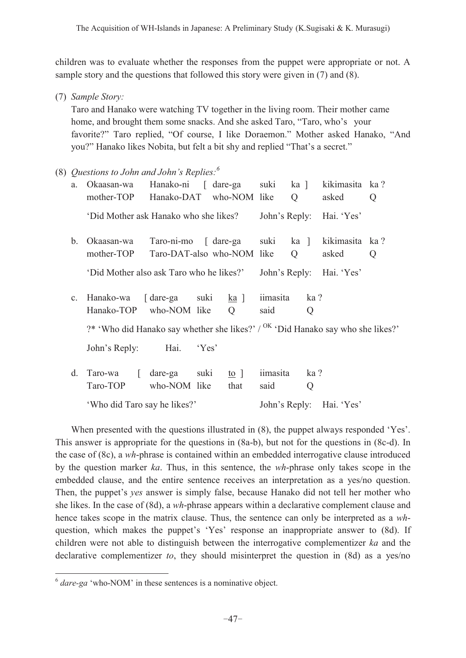children was to evaluate whether the responses from the puppet were appropriate or not. A sample story and the questions that followed this story were given in (7) and (8).

(7) *Sample Story:*

 Taro and Hanako were watching TV together in the living room. Their mother came home, and brought them some snacks. And she asked Taro, "Taro, who's your favorite?" Taro replied, "Of course, I like Doraemon." Mother asked Hanako, "And you?" Hanako likes Nobita, but felt a bit shy and replied "That's a secret."

(8) *Questions to John and John's Replies:*<sup>6</sup>

| a.             | Okaasan-wa<br>mother-TOP Hanako-DAT who-NOM like                                           | Hanako-ni [ dare-ga suki                                |       |                                   |                  | ka ]<br>Q | kikimasita ka?<br>asked  | Q |
|----------------|--------------------------------------------------------------------------------------------|---------------------------------------------------------|-------|-----------------------------------|------------------|-----------|--------------------------|---|
|                | 'Did Mother ask Hanako who she likes?                                                      |                                                         |       |                                   | John's Reply:    |           | Hai. 'Yes'               |   |
| $\mathbf{b}$ . | Okaasan-wa<br>mother-TOP                                                                   | Taro-ni-mo [ dare-ga suki<br>Taro-DAT-also who-NOM like |       |                                   |                  | ka ]<br>Q | kikimasita ka?<br>asked  | Q |
|                | 'Did Mother also ask Taro who he likes?'                                                   |                                                         |       |                                   |                  |           | John's Reply: Hai. 'Yes' |   |
| $c_{\cdot}$    | Hanako-wa [dare-ga suki<br>Hanako-TOP who-NOM like                                         |                                                         |       | <u>ka</u> ]<br>$\overline{Q}$     | iimasita<br>said | ka?<br>Q  |                          |   |
|                | ?* 'Who did Hanako say whether she likes?' / <sup>OK</sup> 'Did Hanako say who she likes?' |                                                         |       |                                   |                  |           |                          |   |
|                | John's Reply:                                                                              | Hai.                                                    | 'Yes' |                                   |                  |           |                          |   |
| d.             | Taro-wa<br>$\Gamma$<br>Taro-TOP                                                            | dare-ga suki<br>who-NOM like                            |       | $\underline{\text{to}}$ ]<br>that | iimasita<br>said | ka?<br>Q  |                          |   |
|                | 'Who did Taro say he likes?'                                                               |                                                         |       |                                   |                  |           | John's Reply: Hai. 'Yes' |   |

When presented with the questions illustrated in  $(8)$ , the puppet always responded 'Yes'. This answer is appropriate for the questions in (8a-b), but not for the questions in (8c-d). In the case of (8c), a *wh*-phrase is contained within an embedded interrogative clause introduced by the question marker *ka*. Thus, in this sentence, the *wh*-phrase only takes scope in the embedded clause, and the entire sentence receives an interpretation as a yes/no question. Then, the puppet's *yes* answer is simply false, because Hanako did not tell her mother who she likes. In the case of (8d), a *wh*-phrase appears within a declarative complement clause and hence takes scope in the matrix clause. Thus, the sentence can only be interpreted as a *wh*question, which makes the puppet's 'Yes' response an inappropriate answer to (8d). If children were not able to distinguish between the interrogative complementizer *ka* and the declarative complementizer *to*, they should misinterpret the question in (8d) as a yes/no

 $\overline{a}$ 

 $6$  *dare-ga* 'who-NOM' in these sentences is a nominative object.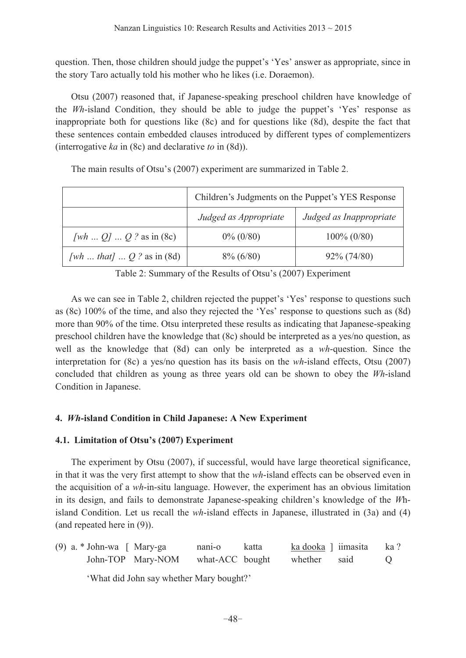question. Then, those children should judge the puppet's 'Yes' answer as appropriate, since in the story Taro actually told his mother who he likes (i.e. Doraemon).

 Otsu (2007) reasoned that, if Japanese-speaking preschool children have knowledge of the *Wh*-island Condition, they should be able to judge the puppet's 'Yes' response as inappropriate both for questions like (8c) and for questions like (8d), despite the fact that these sentences contain embedded clauses introduced by different types of complementizers (interrogative *ka* in (8c) and declarative *to* in (8d)).

|                             | Children's Judgments on the Puppet's YES Response |                         |  |  |
|-----------------------------|---------------------------------------------------|-------------------------|--|--|
|                             | Judged as Appropriate                             | Judged as Inappropriate |  |  |
| [wh $Q$ ] $Q$ ? as in (8c)  | $0\% (0/80)$                                      | $100\% (0/80)$          |  |  |
| [wh  that] $Q$ ? as in (8d) | $8\% (6/80)$                                      | $92\% (74/80)$          |  |  |

The main results of Otsu's (2007) experiment are summarized in Table 2.

Table 2: Summary of the Results of Otsu's (2007) Experiment

As we can see in Table 2, children rejected the puppet's 'Yes' response to questions such as (8c)  $100\%$  of the time, and also they rejected the 'Yes' response to questions such as (8d) more than 90% of the time. Otsu interpreted these results as indicating that Japanese-speaking preschool children have the knowledge that (8c) should be interpreted as a yes/no question, as well as the knowledge that (8d) can only be interpreted as a *wh*-question. Since the interpretation for (8c) a yes/no question has its basis on the *wh*-island effects, Otsu (2007) concluded that children as young as three years old can be shown to obey the *Wh*-island Condition in Japanese.

# **4.** *Wh***-island Condition in Child Japanese: A New Experiment**

# **4.1. Limitation of Otsu's (2007) Experiment**

The experiment by Otsu (2007), if successful, would have large theoretical significance, in that it was the very first attempt to show that the *wh*-island effects can be observed even in the acquisition of a *wh*-in-situ language. However, the experiment has an obvious limitation in its design, and fails to demonstrate Japanese-speaking children's knowledge of the Whisland Condition. Let us recall the *wh*-island effects in Japanese, illustrated in (3a) and (4) (and repeated here in (9)).

(9) a. \* John-wa [ Mary-ga nani-o katta ka dooka ] iimasita ka ? John-TOP Mary-NOM what-ACC bought whether said Q

'What did John say whether Mary bought?'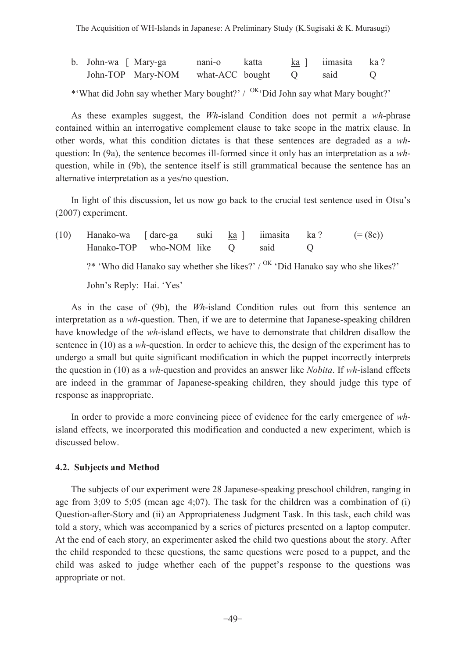| b. John-wa [ Mary-ga |                                   | nani-o | katta | $k$ a ] iimasita ka? |  |
|----------------------|-----------------------------------|--------|-------|----------------------|--|
|                      | John-TOP Mary-NOM what-ACC bought |        |       | said                 |  |

\*'What did John say whether Mary bought?' /  $^{OK}$ 'Did John say what Mary bought?'

As these examples suggest, the *Wh*-island Condition does not permit a *wh*-phrase contained within an interrogative complement clause to take scope in the matrix clause. In other words, what this condition dictates is that these sentences are degraded as a *wh*question: In (9a), the sentence becomes ill-formed since it only has an interpretation as a *wh*question, while in (9b), the sentence itself is still grammatical because the sentence has an alternative interpretation as a yes/no question.

In light of this discussion, let us now go back to the crucial test sentence used in Otsu's (2007) experiment.

(10) Hanako-wa [ dare-ga suki ka ] iimasita ka ? (= (8c)) Hanako-TOP who-NOM like Q said Q ?\* 'Who did Hanako say whether she likes?' /  $^{OK}$  'Did Hanako say who she likes?' John's Reply: Hai. 'Yes'

As in the case of (9b), the *Wh*-island Condition rules out from this sentence an interpretation as a *wh*-question. Then, if we are to determine that Japanese-speaking children have knowledge of the *wh*-island effects, we have to demonstrate that children disallow the sentence in (10) as a *wh*-question. In order to achieve this, the design of the experiment has to undergo a small but quite significant modification in which the puppet incorrectly interprets the question in (10) as a *wh*-question and provides an answer like *Nobita*. If *wh*-island effects are indeed in the grammar of Japanese-speaking children, they should judge this type of response as inappropriate.

In order to provide a more convincing piece of evidence for the early emergence of *wh*island effects, we incorporated this modification and conducted a new experiment, which is discussed below.

#### **4.2. Subjects and Method**

 The subjects of our experiment were 28 Japanese-speaking preschool children, ranging in age from  $3;09$  to  $5;05$  (mean age  $4;07$ ). The task for the children was a combination of (i) Question-after-Story and (ii) an Appropriateness Judgment Task. In this task, each child was told a story, which was accompanied by a series of pictures presented on a laptop computer. At the end of each story, an experimenter asked the child two questions about the story. After the child responded to these questions, the same questions were posed to a puppet, and the child was asked to judge whether each of the puppet's response to the questions was appropriate or not.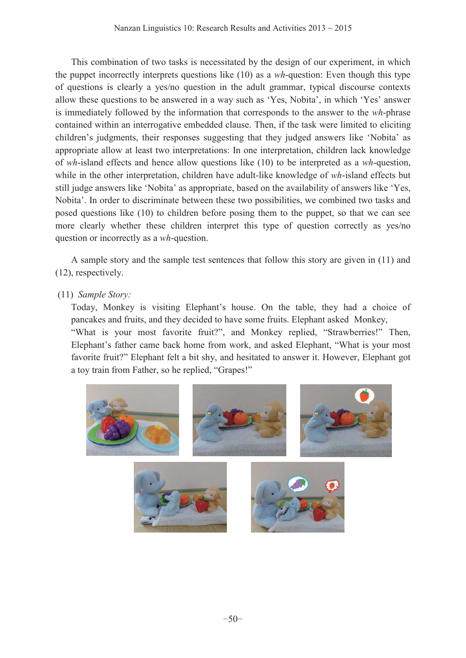This combination of two tasks is necessitated by the design of our experiment, in which the puppet incorrectly interprets questions like (10) as a *wh*-question: Even though this type of questions is clearly a yes/no question in the adult grammar, typical discourse contexts allow these questions to be answered in a way such as 'Yes, Nobita', in which 'Yes' answer is immediately followed by the information that corresponds to the answer to the *wh*-phrase contained within an interrogative embedded clause. Then, if the task were limited to eliciting children's judgments, their responses suggesting that they judged answers like 'Nobita' as appropriate allow at least two interpretations: In one interpretation, children lack knowledge of *wh*-island effects and hence allow questions like (10) to be interpreted as a *wh*-question, while in the other interpretation, children have adult-like knowledge of *wh*-island effects but still judge answers like 'Nobita' as appropriate, based on the availability of answers like 'Yes, Nobita'. In order to discriminate between these two possibilities, we combined two tasks and posed questions like (10) to children before posing them to the puppet, so that we can see more clearly whether these children interpret this type of question correctly as yes/no question or incorrectly as a *wh*-question.

 A sample story and the sample test sentences that follow this story are given in (11) and (12), respectively.

# (11) *Sample Story:*

Today, Monkey is visiting Elephant's house. On the table, they had a choice of pancakes and fruits, and they decided to have some fruits. Elephant asked Monkey, "What is your most favorite fruit?", and Monkey replied, "Strawberries!" Then, Elephant's father came back home from work, and asked Elephant, "What is your most favorite fruit?" Elephant felt a bit shy, and hesitated to answer it. However, Elephant got a toy train from Father, so he replied, "Grapes!"

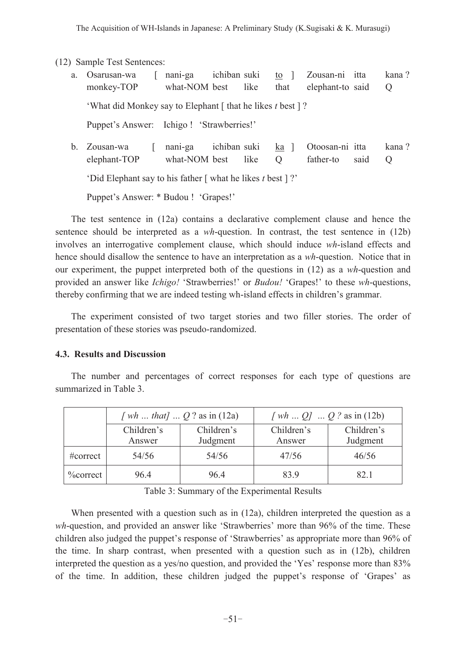(12) Sample Test Sentences:

- a. Osarusan-wa [ nani-ga ichiban suki to ] Zousan-ni itta kana ? monkey-TOP what-NOM best like that elephant-to said Q *What did Monkey say to Elephant* [ that he likes t best ] ? Puppet's Answer: Ichigo ! 'Strawberries!' b. Zousan-wa [ nani-ga ichiban suki ka ] Otoosan-ni itta kana ?
- elephant-TOP what-NOM best like Q father-to said Q 'Did Elephant say to his father [ what he likes *t* best ]?'

Puppet's Answer: \* Budou ! 'Grapes!'

 The test sentence in (12a) contains a declarative complement clause and hence the sentence should be interpreted as a *wh*-question. In contrast, the test sentence in (12b) involves an interrogative complement clause, which should induce *wh*-island effects and hence should disallow the sentence to have an interpretation as a *wh*-question. Notice that in our experiment, the puppet interpreted both of the questions in (12) as a *wh*-question and provided an answer like *Ichigo!* 'Strawberries!' or *Budou!* 'Grapes!' to these *wh*-questions, thereby confirming that we are indeed testing wh-island effects in children's grammar.

 The experiment consisted of two target stories and two filler stories. The order of presentation of these stories was pseudo-randomized.

### **4.3. Results and Discussion**

 The number and percentages of correct responses for each type of questions are summarized in Table 3.

|              | [ <i>wh that</i> ] $Q$ ? as in (12a) |            | [ <i>wh</i> $Q$ ] $Q$ ? as in (12b) |            |  |
|--------------|--------------------------------------|------------|-------------------------------------|------------|--|
|              | Children's                           | Children's | Children's                          | Children's |  |
|              | Answer                               | Judgment   | Answer                              | Judgment   |  |
| $\#correct$  | 54/56                                | 54/56      | 47/56                               | 46/56      |  |
| $\%$ correct | 964                                  | 964        | 83.9                                | 82.1       |  |

Table 3: Summary of the Experimental Results

When presented with a question such as in  $(12a)$ , children interpreted the question as a *wh*-question, and provided an answer like 'Strawberries' more than 96% of the time. These children also judged the puppet's response of 'Strawberries' as appropriate more than  $96\%$  of the time. In sharp contrast, when presented with a question such as in (12b), children interpreted the question as a yes/no question, and provided the 'Yes' response more than  $83\%$ of the time. In addition, these children judged the puppet's response of 'Grapes' as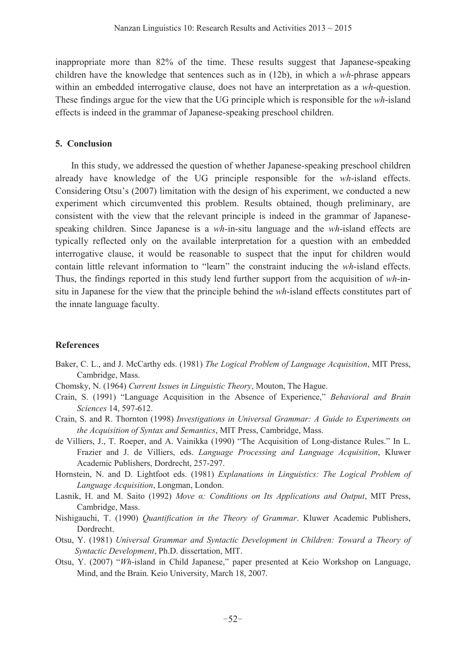inappropriate more than 82% of the time. These results suggest that Japanese-speaking children have the knowledge that sentences such as in (12b), in which a *wh*-phrase appears within an embedded interrogative clause, does not have an interpretation as a *wh*-question. These findings argue for the view that the UG principle which is responsible for the *wh*-island effects is indeed in the grammar of Japanese-speaking preschool children.

#### **5. Conclusion**

In this study, we addressed the question of whether Japanese-speaking preschool children already have knowledge of the UG principle responsible for the *wh*-island effects. Considering Otsu's (2007) limitation with the design of his experiment, we conducted a new experiment which circumvented this problem. Results obtained, though preliminary, are consistent with the view that the relevant principle is indeed in the grammar of Japanesespeaking children. Since Japanese is a *wh*-in-situ language and the *wh*-island effects are typically reflected only on the available interpretation for a question with an embedded interrogative clause, it would be reasonable to suspect that the input for children would contain little relevant information to "learn" the constraint inducing the *wh*-island effects. Thus, the findings reported in this study lend further support from the acquisition of *wh*-insitu in Japanese for the view that the principle behind the *wh*-island effects constitutes part of the innate language faculty.

### **References**

- Baker, C. L., and J. McCarthy eds. (1981) *The Logical Problem of Language Acquisition*, MIT Press, Cambridge, Mass.
- Chomsky, N. (1964) *Current Issues in Linguistic Theory*, Mouton, The Hague.
- Crain, S. (1991) "Language Acquisition in the Absence of Experience," *Behavioral and Brain Sciences* 14, 597-612.
- Crain, S. and R. Thornton (1998) *Investigations in Universal Grammar: A Guide to Experiments on the Acquisition of Syntax and Semantics*, MIT Press, Cambridge, Mass.
- de Villiers, J., T. Roeper, and A. Vainikka (1990) "The Acquisition of Long-distance Rules." In L. Frazier and J. de Villiers, eds. *Language Processing and Language Acquisition*, Kluwer Academic Publishers, Dordrecht, 257-297.
- Hornstein, N. and D. Lightfoot eds. (1981) *Explanations in Linguistics: The Logical Problem of Language Acquisition*, Longman, London.
- Lasnik, H. and M. Saito (1992) Move a: Conditions on Its Applications and Output, MIT Press, Cambridge, Mass.
- Nishigauchi, T. (1990) *Quantification in the Theory of Grammar*. Kluwer Academic Publishers, Dordrecht.
- Otsu, Y. (1981) *Universal Grammar and Syntactic Development in Children: Toward a Theory of Syntactic Development*, Ph.D. dissertation, MIT.
- Otsu, Y. (2007) *'Wh*-island in Child Japanese," paper presented at Keio Workshop on Language, Mind, and the Brain. Keio University, March 18, 2007.